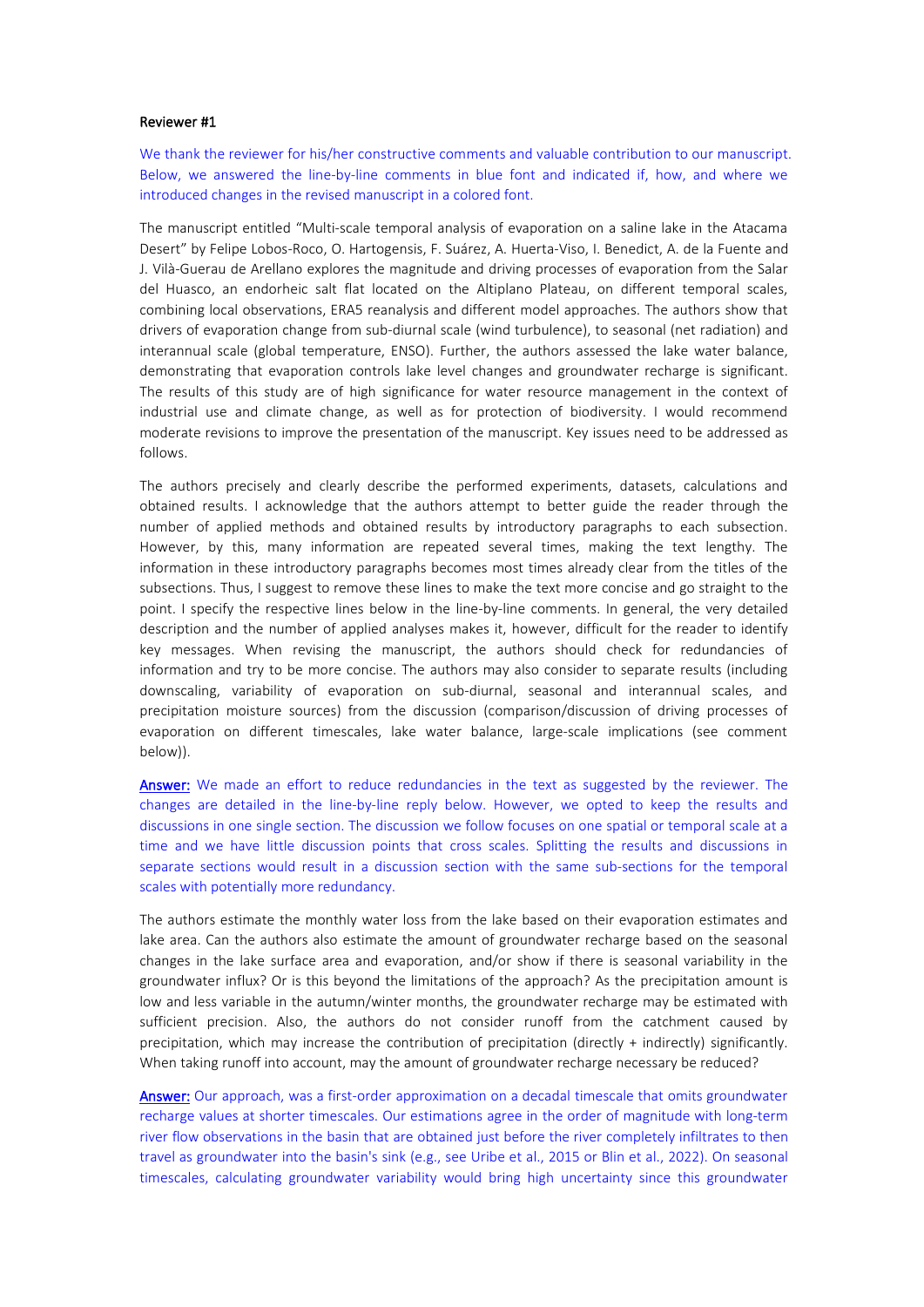## Reviewer #1

We thank the reviewer for his/her constructive comments and valuable contribution to our manuscript. Below, we answered the line-by-line comments in blue font and indicated if, how, and where we introduced changes in the revised manuscript in a colored font.

The manuscript entitled "Multi-scale temporal analysis of evaporation on a saline lake in the Atacama Desert" by Felipe Lobos-Roco, O. Hartogensis, F. Suárez, A. Huerta-Viso, I. Benedict, A. de la Fuente and J. Vilà-Guerau de Arellano explores the magnitude and driving processes of evaporation from the Salar del Huasco, an endorheic salt flat located on the Altiplano Plateau, on different temporal scales, combining local observations, ERA5 reanalysis and different model approaches. The authors show that drivers of evaporation change from sub-diurnal scale (wind turbulence), to seasonal (net radiation) and interannual scale (global temperature, ENSO). Further, the authors assessed the lake water balance, demonstrating that evaporation controls lake level changes and groundwater recharge is significant. The results of this study are of high significance for water resource management in the context of industrial use and climate change, as well as for protection of biodiversity. I would recommend moderate revisions to improve the presentation of the manuscript. Key issues need to be addressed as follows.

The authors precisely and clearly describe the performed experiments, datasets, calculations and obtained results. I acknowledge that the authors attempt to better guide the reader through the number of applied methods and obtained results by introductory paragraphs to each subsection. However, by this, many information are repeated several times, making the text lengthy. The information in these introductory paragraphs becomes most times already clear from the titles of the subsections. Thus, I suggest to remove these lines to make the text more concise and go straight to the point. I specify the respective lines below in the line-by-line comments. In general, the very detailed description and the number of applied analyses makes it, however, difficult for the reader to identify key messages. When revising the manuscript, the authors should check for redundancies of information and try to be more concise. The authors may also consider to separate results (including downscaling, variability of evaporation on sub-diurnal, seasonal and interannual scales, and precipitation moisture sources) from the discussion (comparison/discussion of driving processes of evaporation on different timescales, lake water balance, large-scale implications (see comment below)).

Answer: We made an effort to reduce redundancies in the text as suggested by the reviewer. The changes are detailed in the line-by-line reply below. However, we opted to keep the results and discussions in one single section. The discussion we follow focuses on one spatial or temporal scale at a time and we have little discussion points that cross scales. Splitting the results and discussions in separate sections would result in a discussion section with the same sub-sections for the temporal scales with potentially more redundancy.

The authors estimate the monthly water loss from the lake based on their evaporation estimates and lake area. Can the authors also estimate the amount of groundwater recharge based on the seasonal changes in the lake surface area and evaporation, and/or show if there is seasonal variability in the groundwater influx? Or is this beyond the limitations of the approach? As the precipitation amount is low and less variable in the autumn/winter months, the groundwater recharge may be estimated with sufficient precision. Also, the authors do not consider runoff from the catchment caused by precipitation, which may increase the contribution of precipitation (directly + indirectly) significantly. When taking runoff into account, may the amount of groundwater recharge necessary be reduced?

Answer: Our approach, was a first-order approximation on a decadal timescale that omits groundwater recharge values at shorter timescales. Our estimations agree in the order of magnitude with long-term river flow observations in the basin that are obtained just before the river completely infiltrates to then travel as groundwater into the basin's sink (e.g., see Uribe et al., 2015 or Blin et al., 2022). On seasonal timescales, calculating groundwater variability would bring high uncertainty since this groundwater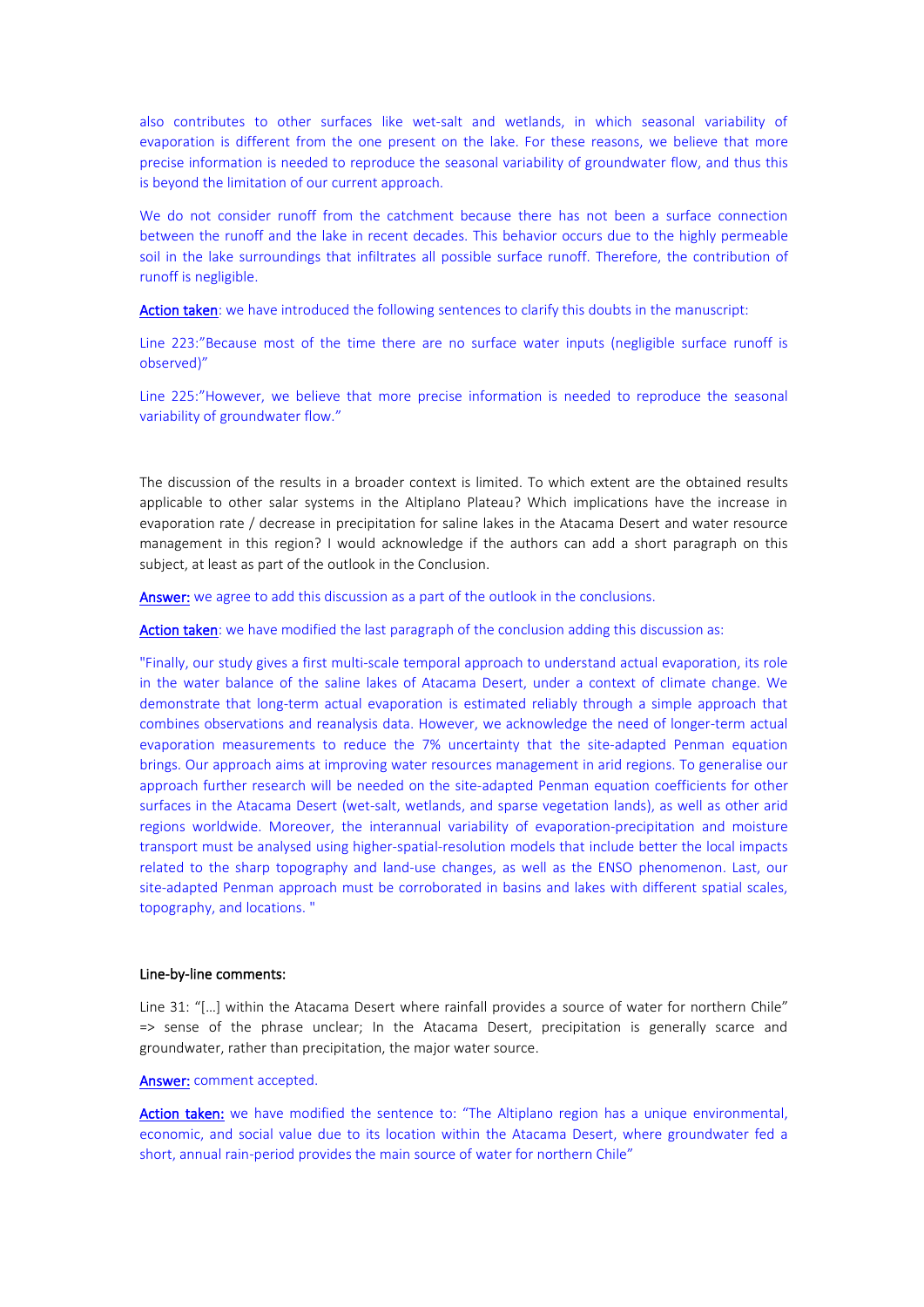also contributes to other surfaces like wet-salt and wetlands, in which seasonal variability of evaporation is different from the one present on the lake. For these reasons, we believe that more precise information is needed to reproduce the seasonal variability of groundwater flow, and thus this is beyond the limitation of our current approach.

We do not consider runoff from the catchment because there has not been a surface connection between the runoff and the lake in recent decades. This behavior occurs due to the highly permeable soil in the lake surroundings that infiltrates all possible surface runoff. Therefore, the contribution of runoff is negligible.

Action taken: we have introduced the following sentences to clarify this doubts in the manuscript:

Line 223:"Because most of the time there are no surface water inputs (negligible surface runoff is observed)"

Line 225:"However, we believe that more precise information is needed to reproduce the seasonal variability of groundwater flow."

The discussion of the results in a broader context is limited. To which extent are the obtained results applicable to other salar systems in the Altiplano Plateau? Which implications have the increase in evaporation rate / decrease in precipitation for saline lakes in the Atacama Desert and water resource management in this region? I would acknowledge if the authors can add a short paragraph on this subject, at least as part of the outlook in the Conclusion.

Answer: we agree to add this discussion as a part of the outlook in the conclusions.

Action taken: we have modified the last paragraph of the conclusion adding this discussion as:

"Finally, our study gives a first multi-scale temporal approach to understand actual evaporation, its role in the water balance of the saline lakes of Atacama Desert, under a context of climate change. We demonstrate that long-term actual evaporation is estimated reliably through a simple approach that combines observations and reanalysis data. However, we acknowledge the need of longer-term actual evaporation measurements to reduce the 7% uncertainty that the site-adapted Penman equation brings. Our approach aims atimproving water resources management in arid regions. To generalise our approach further research will be needed on the site-adapted Penman equation coefficients for other surfaces in the Atacama Desert (wet-salt, wetlands, and sparse vegetation lands), as well as other arid regions worldwide. Moreover, the interannual variability of evaporation-precipitation and moisture transport must be analysed using higher-spatial-resolution models that include better the local impacts related to the sharp topography and land-use changes, as well as the ENSO phenomenon. Last, our site-adapted Penman approach must be corroborated in basins and lakes with different spatial scales, topography, and locations. "

# Line-by-line comments:

Line 31: "[...] within the Atacama Desert where rainfall provides a source of water for northern Chile" => sense of the phrase unclear; In the Atacama Desert, precipitation is generally scarce and groundwater, rather than precipitation, the major water source.

#### Answer: comment accepted.

Action taken: we have modified the sentence to: "The Altiplano region has a unique environmental, economic, and social value due to its location within the Atacama Desert, where groundwater fed a short, annual rain-period provides the main source of water for northern Chile"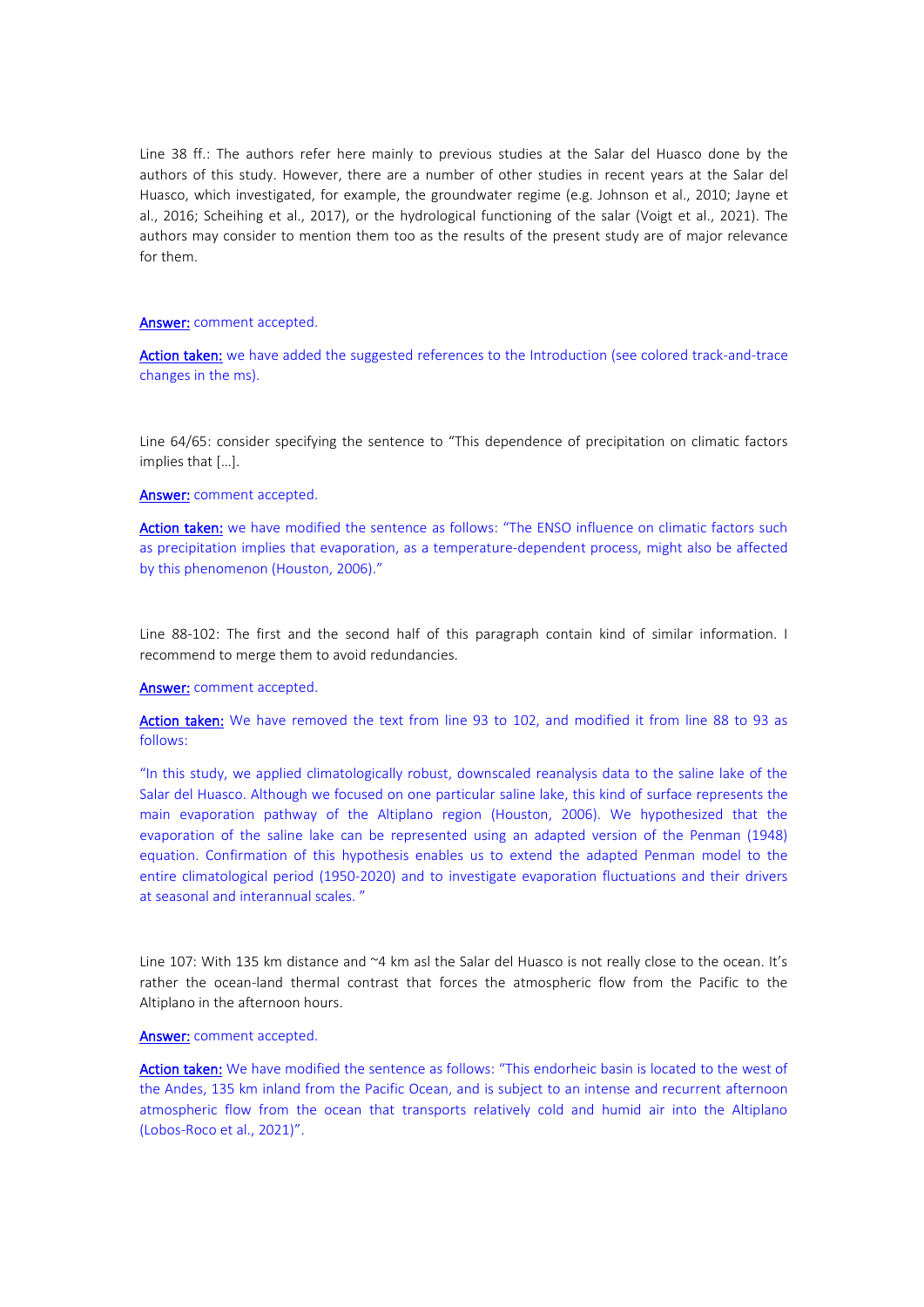Line 38 ff.: The authors refer here mainly to previous studies at the Salar del Huasco done by the authors of this study. However, there are a number of other studies in recent years at the Salar del Huasco, which investigated, for example, the groundwater regime (e.g. Johnson et al., 2010; Jayne et al., 2016; Scheihing et al., 2017), or the hydrological functioning of the salar (Voigt et al., 2021). The authors may consider to mention them too as the results of the present study are of major relevance for them.

# Answer: comment accepted.

Action taken: we have added the suggested references to the Introduction (see colored track-and-trace changes in the ms).

Line 64/65: consider specifying the sentence to "This dependence of precipitation on climatic factors implies that […].

#### Answer: comment accepted.

Action taken: we have modified the sentence as follows: "The ENSO influence on climatic factors such as precipitation implies that evaporation, as a temperature-dependent process, might also be affected by this phenomenon (Houston, 2006)."

Line 88-102: The first and the second half of this paragraph contain kind of similar information. I recommend to merge them to avoid redundancies.

# Answer: comment accepted.

Action taken: We have removed the text from line 93 to 102, and modified it from line 88 to 93 as follows:

"In this study, we applied climatologically robust, downscaled reanalysis data to the saline lake of the Salar del Huasco. Although we focused on one particular saline lake, this kind of surface represents the main evaporation pathway of the Altiplano region (Houston, 2006). We hypothesized that the evaporation of the saline lake can be represented using an adapted version of the Penman (1948) equation. Confirmation of this hypothesis enables us to extend the adapted Penman model to the entire climatological period (1950-2020) and to investigate evaporation fluctuations and their drivers at seasonal and interannual scales. "

Line 107: With 135 km distance and ~4 km asl the Salar del Huasco is not really close to the ocean. It's rather the ocean-land thermal contrast that forces the atmospheric flow from the Pacific to the Altiplano in the afternoon hours.

## Answer: comment accepted.

Action taken: We have modified the sentence as follows: "This endorheic basin is located to the west of the Andes, 135 km inland from the Pacific Ocean, and is subject to an intense and recurrent afternoon atmospheric flow from the ocean that transports relatively cold and humid air into the Altiplano (Lobos-Roco et al., 2021)".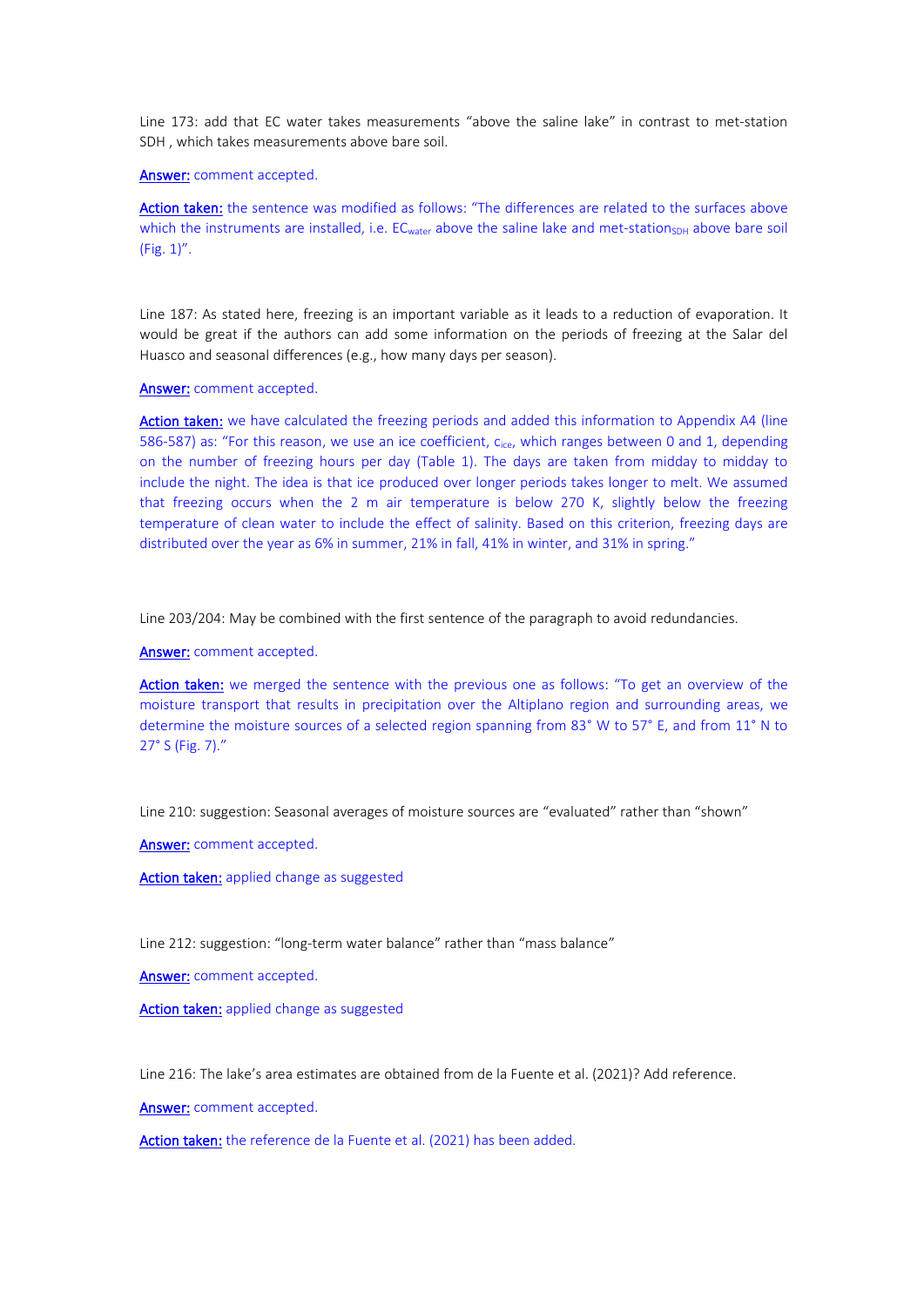Line 173: add that EC water takes measurements "above the saline lake" in contrast to met-station SDH , which takes measurements above bare soil.

## Answer: comment accepted.

Action taken: the sentence was modified as follows: "The differences are related to the surfaces above which the instruments are installed, i.e. EC<sub>water</sub> above the saline lake and met-station<sub>SDH</sub> above bare soil (Fig. 1)".

Line 187: As stated here, freezing is an important variable as it leads to a reduction of evaporation. It would be great if the authors can add some information on the periods of freezing at the Salar del Huasco and seasonal differences (e.g., how many days per season).

# Answer: comment accepted.

Action taken: we have calculated the freezing periods and added this information to Appendix A4 (line 586-587) as: "For this reason, we use an ice coefficient, c<sub>ice</sub>, which ranges between 0 and 1, depending on the number of freezing hours per day (Table 1). The days are taken from midday to midday to include the night. The idea is that ice produced over longer periods takes longer to melt. We assumed that freezing occurs when the 2 m air temperature is below 270 K, slightly below the freezing temperature of clean water to include the effect of salinity. Based on this criterion, freezing days are distributed over the year as 6% in summer, 21% in fall, 41% in winter, and 31% in spring."

Line 203/204: May be combined with the first sentence of the paragraph to avoid redundancies.

Answer: comment accepted.

Action taken: we merged the sentence with the previous one as follows: "To get an overview of the moisture transport that results in precipitation over the Altiplano region and surrounding areas, we determine the moisture sources of a selected region spanning from 83° W to 57° E, and from 11° N to 27° S (Fig. 7)."

Line 210: suggestion: Seasonal averages of moisture sources are "evaluated" rather than "shown"

Answer: comment accepted.

Action taken: applied change as suggested

Line 212: suggestion: "long-term water balance" rather than "mass balance"

Answer: comment accepted.

Action taken: applied change as suggested

Line 216: The lake's area estimates are obtained from de la Fuente et al. (2021)? Add reference.

Answer: comment accepted.

Action taken: the reference de la Fuente et al. (2021) has been added.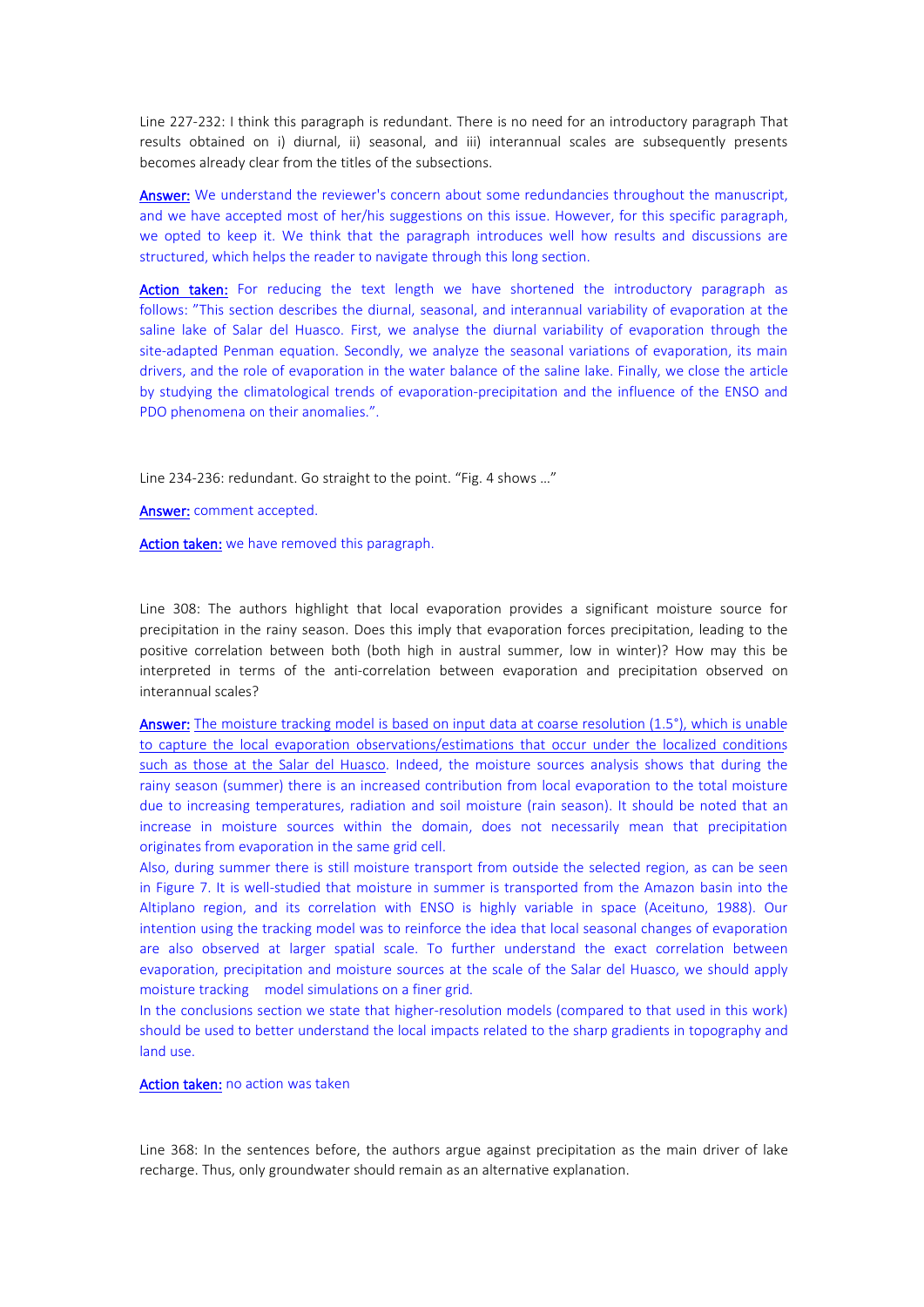Line 227-232: I think this paragraph is redundant. There is no need for an introductory paragraph That results obtained on i) diurnal, ii) seasonal, and iii) interannual scales are subsequently presents becomes already clear from the titles of the subsections.

Answer: We understand the reviewer's concern about some redundancies throughout the manuscript, and we have accepted most of her/his suggestions on this issue. However, for this specific paragraph, we opted to keep it. We think that the paragraph introduces well how results and discussions are structured, which helps the reader to navigate through this long section.

Action taken: For reducing the text length we have shortened the introductory paragraph as follows: "This section describes the diurnal, seasonal, and interannual variability of evaporation at the saline lake of Salar del Huasco. First, we analyse the diurnal variability of evaporation through the site-adapted Penman equation. Secondly, we analyze the seasonal variations of evaporation, its main drivers, and the role of evaporation in the water balance of the saline lake. Finally, we close the article by studying the climatological trends of evaporation-precipitation and the influence of the ENSO and PDO phenomena on their anomalies.".

Line 234-236: redundant. Go straight to the point. "Fig. 4 shows …"

Answer: comment accepted.

Action taken: we have removed this paragraph.

Line 308: The authors highlight that local evaporation provides a significant moisture source for precipitation in the rainy season. Does this imply that evaporation forces precipitation, leading to the positive correlation between both (both high in austral summer, low in winter)? How may this be interpreted in terms of the anti-correlation between evaporation and precipitation observed on interannual scales?

Answer: The moisture tracking model is based on input data at coarse resolution (1.5°), which is unable to capture the local evaporation observations/estimations that occur under the localized conditions such as those at the Salar del Huasco. Indeed, the moisture sources analysis shows that during the rainy season (summer) there is an increased contribution from local evaporation to the total moisture due to increasing temperatures, radiation and soil moisture (rain season). It should be noted that an increase in moisture sources within the domain, does not necessarily mean that precipitation originates from evaporation in the same grid cell.

Also, during summer there is still moisture transport from outside the selected region, as can be seen in Figure 7. It is well-studied that moisture in summer is transported from the Amazon basin into the Altiplano region, and its correlation with ENSO is highly variable in space (Aceituno, 1988). Our intention using the tracking model was to reinforce the idea that local seasonal changes of evaporation are also observed at larger spatial scale. To further understand the exact correlation between evaporation, precipitation and moisture sources at the scale of the Salar del Huasco, we should apply moisture tracking model simulations on a finer grid.

In the conclusions section we state that higher-resolution models (compared to that used in this work) should be used to better understand the local impacts related to the sharp gradients in topography and land use.

# Action taken: no action was taken

Line 368: In the sentences before, the authors argue against precipitation as the main driver of lake recharge. Thus, only groundwater should remain as an alternative explanation.